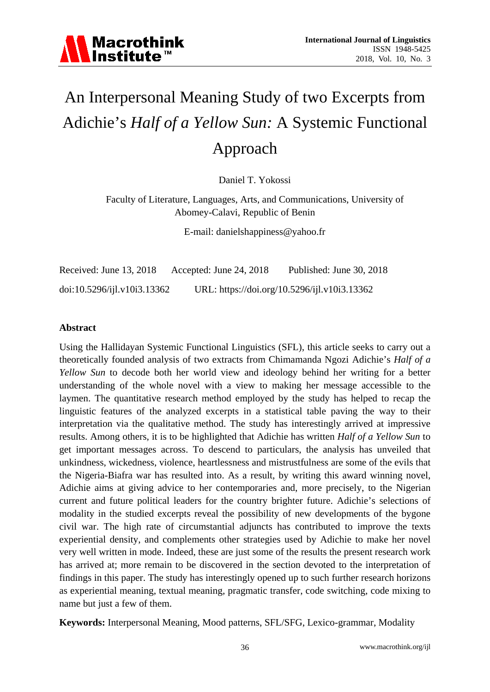# An Interpersonal Meaning Study of two Excerpts from Adichie's *Half of a Yellow Sun:* A Systemic Functional Approach

Daniel T. Yokossi

Faculty of Literature, Languages, Arts, and Communications, University of Abomey-Calavi, Republic of Benin

E-mail: danielshappiness@yahoo.fr

| Received: June 13, 2018     | Accepted: June 24, 2018 | Published: June 30, 2018                     |
|-----------------------------|-------------------------|----------------------------------------------|
| doi:10.5296/ijl.v10i3.13362 |                         | URL: https://doi.org/10.5296/ijl.v10i3.13362 |

#### **Abstract**

Using the Hallidayan Systemic Functional Linguistics (SFL), this article seeks to carry out a theoretically founded analysis of two extracts from Chimamanda Ngozi Adichie's *Half of a Yellow Sun* to decode both her world view and ideology behind her writing for a better understanding of the whole novel with a view to making her message accessible to the laymen. The quantitative research method employed by the study has helped to recap the linguistic features of the analyzed excerpts in a statistical table paving the way to their interpretation via the qualitative method. The study has interestingly arrived at impressive results. Among others, it is to be highlighted that Adichie has written *Half of a Yellow Sun* to get important messages across. To descend to particulars, the analysis has unveiled that unkindness, wickedness, violence, heartlessness and mistrustfulness are some of the evils that the Nigeria-Biafra war has resulted into. As a result, by writing this award winning novel, Adichie aims at giving advice to her contemporaries and, more precisely, to the Nigerian current and future political leaders for the country brighter future. Adichie's selections of modality in the studied excerpts reveal the possibility of new developments of the bygone civil war. The high rate of circumstantial adjuncts has contributed to improve the texts experiential density, and complements other strategies used by Adichie to make her novel very well written in mode. Indeed, these are just some of the results the present research work has arrived at; more remain to be discovered in the section devoted to the interpretation of findings in this paper. The study has interestingly opened up to such further research horizons as experiential meaning, textual meaning, pragmatic transfer, code switching, code mixing to name but just a few of them.

**Keywords:** Interpersonal Meaning, Mood patterns, SFL/SFG, Lexico-grammar, Modality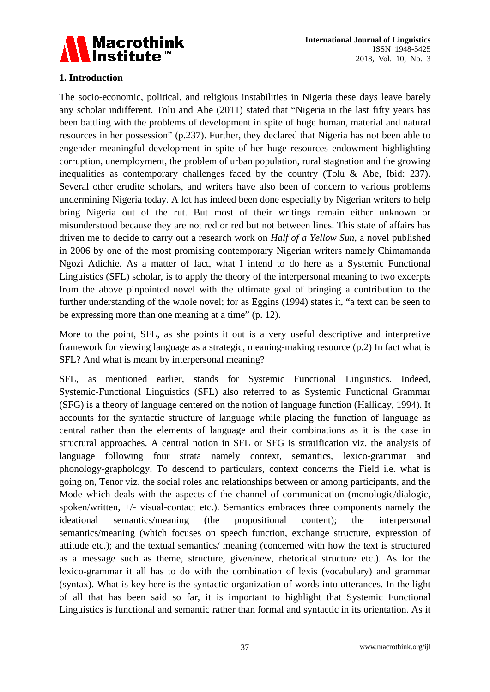

# **1. Introduction**

The socio-economic, political, and religious instabilities in Nigeria these days leave barely any scholar indifferent. Tolu and Abe (2011) stated that "Nigeria in the last fifty years has been battling with the problems of development in spite of huge human, material and natural resources in her possession" (p.237). Further, they declared that Nigeria has not been able to engender meaningful development in spite of her huge resources endowment highlighting corruption, unemployment, the problem of urban population, rural stagnation and the growing inequalities as contemporary challenges faced by the country (Tolu & Abe, Ibid: 237). Several other erudite scholars, and writers have also been of concern to various problems undermining Nigeria today. A lot has indeed been done especially by Nigerian writers to help bring Nigeria out of the rut. But most of their writings remain either unknown or misunderstood because they are not red or red but not between lines. This state of affairs has driven me to decide to carry out a research work on *Half of a Yellow Sun*, a novel published in 2006 by one of the most promising contemporary Nigerian writers namely Chimamanda Ngozi Adichie. As a matter of fact, what I intend to do here as a Systemic Functional Linguistics (SFL) scholar, is to apply the theory of the interpersonal meaning to two excerpts from the above pinpointed novel with the ultimate goal of bringing a contribution to the further understanding of the whole novel; for as Eggins (1994) states it, "a text can be seen to be expressing more than one meaning at a time" (p. 12).

More to the point, SFL, as she points it out is a very useful descriptive and interpretive framework for viewing language as a strategic, meaning-making resource (p.2) In fact what is SFL? And what is meant by interpersonal meaning?

SFL, as mentioned earlier, stands for Systemic Functional Linguistics. Indeed, Systemic-Functional Linguistics (SFL) also referred to as Systemic Functional Grammar (SFG) is a theory of language centered on the notion of language function (Halliday, 1994). It accounts for the syntactic structure of language while placing the function of language as central rather than the elements of language and their combinations as it is the case in structural approaches. A central notion in SFL or SFG is stratification viz. the analysis of language following four strata namely context, semantics, lexico-grammar and phonology-graphology. To descend to particulars, context concerns the Field i.e. what is going on, Tenor viz. the social roles and relationships between or among participants, and the Mode which deals with the aspects of the channel of communication (monologic/dialogic, spoken/written, +/- visual-contact etc.). Semantics embraces three components namely the ideational semantics/meaning (the propositional content); the interpersonal semantics/meaning (which focuses on speech function, exchange structure, expression of attitude etc.); and the textual semantics/ meaning (concerned with how the text is structured as a message such as theme, structure, given/new, rhetorical structure etc.). As for the lexico-grammar it all has to do with the combination of lexis (vocabulary) and grammar (syntax). What is key here is the syntactic organization of words into utterances. In the light of all that has been said so far, it is important to highlight that Systemic Functional Linguistics is functional and semantic rather than formal and syntactic in its orientation. As it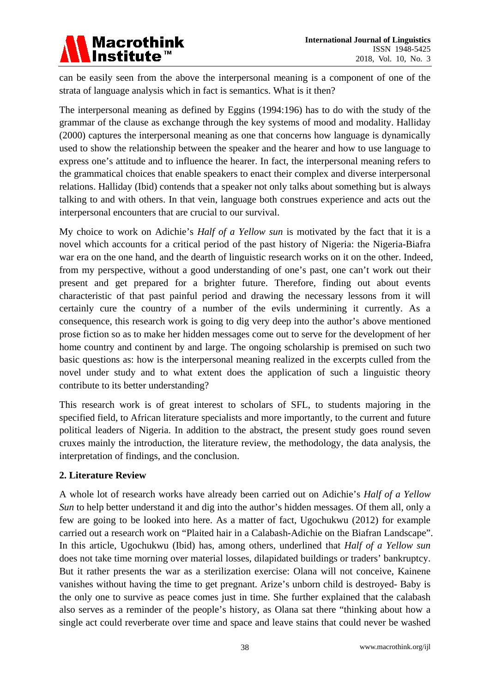

can be easily seen from the above the interpersonal meaning is a component of one of the strata of language analysis which in fact is semantics. What is it then?

The interpersonal meaning as defined by Eggins (1994:196) has to do with the study of the grammar of the clause as exchange through the key systems of mood and modality. Halliday (2000) captures the interpersonal meaning as one that concerns how language is dynamically used to show the relationship between the speaker and the hearer and how to use language to express one's attitude and to influence the hearer. In fact, the interpersonal meaning refers to the grammatical choices that enable speakers to enact their complex and diverse interpersonal relations. Halliday (Ibid) contends that a speaker not only talks about something but is always talking to and with others. In that vein, language both construes experience and acts out the interpersonal encounters that are crucial to our survival.

My choice to work on Adichie's *Half of a Yellow sun* is motivated by the fact that it is a novel which accounts for a critical period of the past history of Nigeria: the Nigeria-Biafra war era on the one hand, and the dearth of linguistic research works on it on the other. Indeed, from my perspective, without a good understanding of one's past, one can't work out their present and get prepared for a brighter future. Therefore, finding out about events characteristic of that past painful period and drawing the necessary lessons from it will certainly cure the country of a number of the evils undermining it currently. As a consequence, this research work is going to dig very deep into the author's above mentioned prose fiction so as to make her hidden messages come out to serve for the development of her home country and continent by and large. The ongoing scholarship is premised on such two basic questions as: how is the interpersonal meaning realized in the excerpts culled from the novel under study and to what extent does the application of such a linguistic theory contribute to its better understanding?

This research work is of great interest to scholars of SFL, to students majoring in the specified field, to African literature specialists and more importantly, to the current and future political leaders of Nigeria. In addition to the abstract, the present study goes round seven cruxes mainly the introduction, the literature review, the methodology, the data analysis, the interpretation of findings, and the conclusion.

# **2. Literature Review**

A whole lot of research works have already been carried out on Adichie's *Half of a Yellow Sun* to help better understand it and dig into the author's hidden messages. Of them all, only a few are going to be looked into here. As a matter of fact, Ugochukwu (2012) for example carried out a research work on "Plaited hair in a Calabash-Adichie on the Biafran Landscape". In this article, Ugochukwu (Ibid) has, among others, underlined that *Half of a Yellow sun* does not take time morning over material losses, dilapidated buildings or traders' bankruptcy. But it rather presents the war as a sterilization exercise: Olana will not conceive, Kainene vanishes without having the time to get pregnant. Arize's unborn child is destroyed- Baby is the only one to survive as peace comes just in time. She further explained that the calabash also serves as a reminder of the people's history, as Olana sat there "thinking about how a single act could reverberate over time and space and leave stains that could never be washed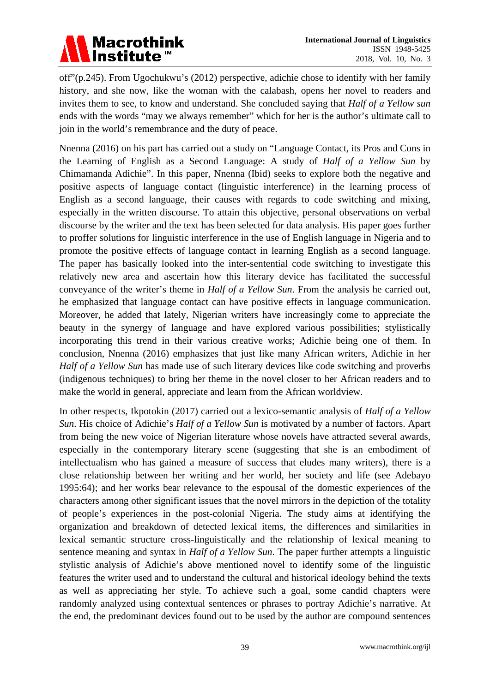

off"(p.245). From Ugochukwu's (2012) perspective, adichie chose to identify with her family history, and she now, like the woman with the calabash, opens her novel to readers and invites them to see, to know and understand. She concluded saying that *Half of a Yellow sun* ends with the words "may we always remember" which for her is the author's ultimate call to join in the world's remembrance and the duty of peace.

Nnenna (2016) on his part has carried out a study on "Language Contact, its Pros and Cons in the Learning of English as a Second Language: A study of *Half of a Yellow Sun* by Chimamanda Adichie". In this paper, Nnenna (Ibid) seeks to explore both the negative and positive aspects of language contact (linguistic interference) in the learning process of English as a second language, their causes with regards to code switching and mixing, especially in the written discourse. To attain this objective, personal observations on verbal discourse by the writer and the text has been selected for data analysis. His paper goes further to proffer solutions for linguistic interference in the use of English language in Nigeria and to promote the positive effects of language contact in learning English as a second language. The paper has basically looked into the inter-sentential code switching to investigate this relatively new area and ascertain how this literary device has facilitated the successful conveyance of the writer's theme in *Half of a Yellow Sun*. From the analysis he carried out, he emphasized that language contact can have positive effects in language communication. Moreover, he added that lately, Nigerian writers have increasingly come to appreciate the beauty in the synergy of language and have explored various possibilities; stylistically incorporating this trend in their various creative works; Adichie being one of them. In conclusion, Nnenna (2016) emphasizes that just like many African writers, Adichie in her *Half of a Yellow Sun* has made use of such literary devices like code switching and proverbs (indigenous techniques) to bring her theme in the novel closer to her African readers and to make the world in general, appreciate and learn from the African worldview.

In other respects, Ikpotokin (2017) carried out a lexico-semantic analysis of *Half of a Yellow Sun*. His choice of Adichie's *Half of a Yellow Sun* is motivated by a number of factors. Apart from being the new voice of Nigerian literature whose novels have attracted several awards, especially in the contemporary literary scene (suggesting that she is an embodiment of intellectualism who has gained a measure of success that eludes many writers), there is a close relationship between her writing and her world, her society and life (see Adebayo 1995:64); and her works bear relevance to the espousal of the domestic experiences of the characters among other significant issues that the novel mirrors in the depiction of the totality of people's experiences in the post-colonial Nigeria. The study aims at identifying the organization and breakdown of detected lexical items, the differences and similarities in lexical semantic structure cross-linguistically and the relationship of lexical meaning to sentence meaning and syntax in *Half of a Yellow Sun*. The paper further attempts a linguistic stylistic analysis of Adichie's above mentioned novel to identify some of the linguistic features the writer used and to understand the cultural and historical ideology behind the texts as well as appreciating her style. To achieve such a goal, some candid chapters were randomly analyzed using contextual sentences or phrases to portray Adichie's narrative. At the end, the predominant devices found out to be used by the author are compound sentences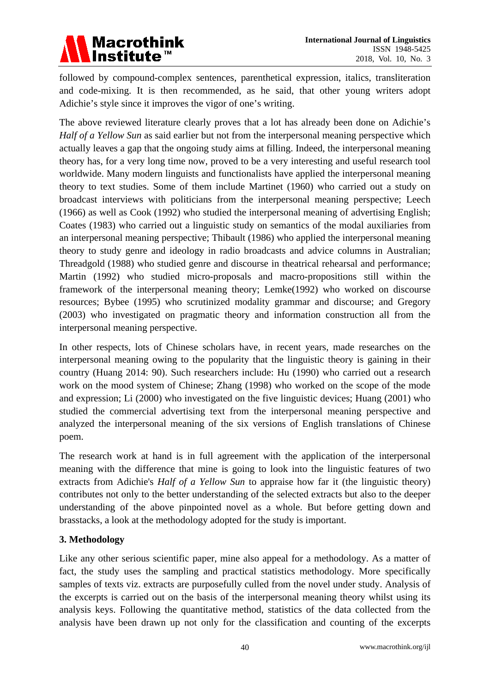

followed by compound-complex sentences, parenthetical expression, italics, transliteration and code-mixing. It is then recommended, as he said, that other young writers adopt Adichie's style since it improves the vigor of one's writing.

The above reviewed literature clearly proves that a lot has already been done on Adichie's *Half of a Yellow Sun* as said earlier but not from the interpersonal meaning perspective which actually leaves a gap that the ongoing study aims at filling. Indeed, the interpersonal meaning theory has, for a very long time now, proved to be a very interesting and useful research tool worldwide. Many modern linguists and functionalists have applied the interpersonal meaning theory to text studies. Some of them include Martinet (1960) who carried out a study on broadcast interviews with politicians from the interpersonal meaning perspective; Leech (1966) as well as Cook (1992) who studied the interpersonal meaning of advertising English; Coates (1983) who carried out a linguistic study on semantics of the modal auxiliaries from an interpersonal meaning perspective; Thibault (1986) who applied the interpersonal meaning theory to study genre and ideology in radio broadcasts and advice columns in Australian; Threadgold (1988) who studied genre and discourse in theatrical rehearsal and performance; Martin (1992) who studied micro-proposals and macro-propositions still within the framework of the interpersonal meaning theory; Lemke(1992) who worked on discourse resources; Bybee (1995) who scrutinized modality grammar and discourse; and Gregory (2003) who investigated on pragmatic theory and information construction all from the interpersonal meaning perspective.

In other respects, lots of Chinese scholars have, in recent years, made researches on the interpersonal meaning owing to the popularity that the linguistic theory is gaining in their country (Huang 2014: 90). Such researchers include: Hu (1990) who carried out a research work on the mood system of Chinese; Zhang (1998) who worked on the scope of the mode and expression; Li (2000) who investigated on the five linguistic devices; Huang (2001) who studied the commercial advertising text from the interpersonal meaning perspective and analyzed the interpersonal meaning of the six versions of English translations of Chinese poem.

The research work at hand is in full agreement with the application of the interpersonal meaning with the difference that mine is going to look into the linguistic features of two extracts from Adichie's *Half of a Yellow Sun* to appraise how far it (the linguistic theory) contributes not only to the better understanding of the selected extracts but also to the deeper understanding of the above pinpointed novel as a whole. But before getting down and brasstacks, a look at the methodology adopted for the study is important.

# **3. Methodology**

Like any other serious scientific paper, mine also appeal for a methodology. As a matter of fact, the study uses the sampling and practical statistics methodology. More specifically samples of texts viz. extracts are purposefully culled from the novel under study. Analysis of the excerpts is carried out on the basis of the interpersonal meaning theory whilst using its analysis keys. Following the quantitative method, statistics of the data collected from the analysis have been drawn up not only for the classification and counting of the excerpts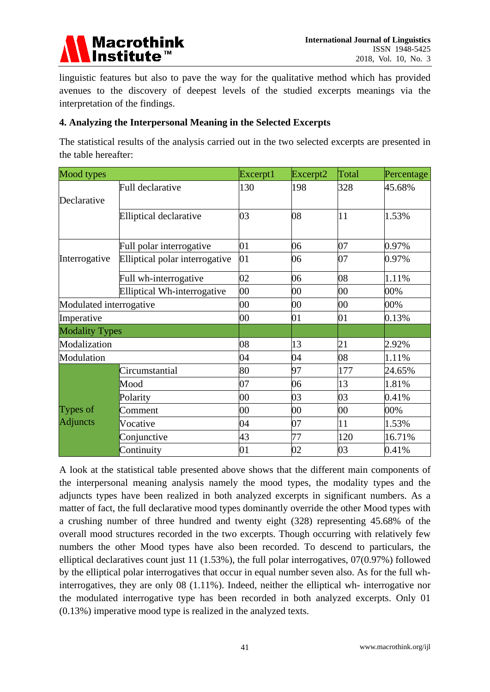

linguistic features but also to pave the way for the qualitative method which has provided avenues to the discovery of deepest levels of the studied excerpts meanings via the interpretation of the findings.

#### **4. Analyzing the Interpersonal Meaning in the Selected Excerpts**

The statistical results of the analysis carried out in the two selected excerpts are presented in the table hereafter:

| Mood types              |                                | Excerpt1 | Excerpt2 | Total  | Percentage |
|-------------------------|--------------------------------|----------|----------|--------|------------|
| Declarative             | Full declarative               |          | 198      | 328    | 45.68%     |
|                         | <b>Elliptical declarative</b>  | 03       | 08       | 11     | 1.53%      |
|                         | Full polar interrogative       | 01       | 06       | 07     | 0.97%      |
| Interrogative           | Elliptical polar interrogative | 01       | 06       | 07     | 0.97%      |
|                         | Full wh-interrogative          | 02       | 06       | 08     | 1.11%      |
|                         | Elliptical Wh-interrogative    | 00       | $00\,$   | $00\,$ | 00%        |
| Modulated interrogative |                                | 00       | $00\,$   | $00\,$ | 00%        |
| Imperative              |                                | $00\,$   | 01       | 01     | 0.13%      |
| <b>Modality Types</b>   |                                |          |          |        |            |
| Modalization            |                                | 08       | 13       | 21     | 2.92%      |
| Modulation              |                                | 04       | 04       | 08     | 1.11%      |
|                         | Circumstantial                 | 80       | 97       | 177    | 24.65%     |
|                         | Mood                           | 07       | 06       | 13     | 1.81%      |
|                         | Polarity                       | 00       | 03       | 03     | 0.41%      |
| Types of                | Comment                        | 00       | $00\,$   | $00\,$ | 00%        |
| <b>Adjuncts</b>         | Vocative                       | 04       | 07       | 11     | 1.53%      |
|                         | Conjunctive                    | 43       | 77       | 120    | 16.71%     |
|                         | Continuity                     | 01       | 02       | 03     | 0.41%      |

A look at the statistical table presented above shows that the different main components of the interpersonal meaning analysis namely the mood types, the modality types and the adjuncts types have been realized in both analyzed excerpts in significant numbers. As a matter of fact, the full declarative mood types dominantly override the other Mood types with a crushing number of three hundred and twenty eight (328) representing 45.68% of the overall mood structures recorded in the two excerpts. Though occurring with relatively few numbers the other Mood types have also been recorded. To descend to particulars, the elliptical declaratives count just 11 (1.53%), the full polar interrogatives, 07(0.97%) followed by the elliptical polar interrogatives that occur in equal number seven also. As for the full whinterrogatives, they are only 08 (1.11%). Indeed, neither the elliptical wh- interrogative nor the modulated interrogative type has been recorded in both analyzed excerpts. Only 01 (0.13%) imperative mood type is realized in the analyzed texts.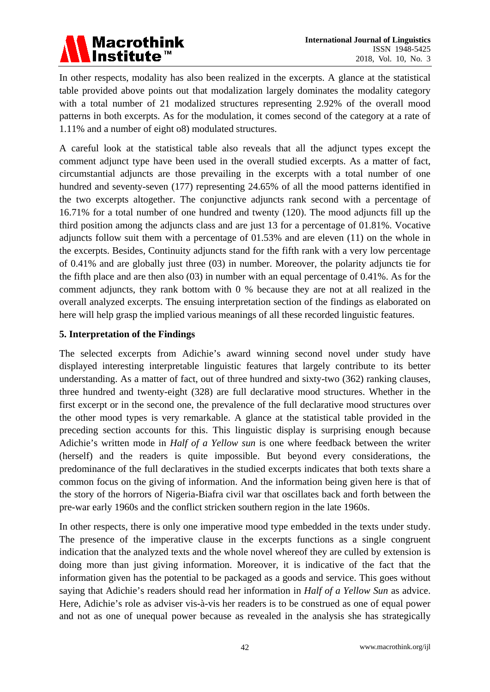

In other respects, modality has also been realized in the excerpts. A glance at the statistical table provided above points out that modalization largely dominates the modality category with a total number of 21 modalized structures representing 2.92% of the overall mood patterns in both excerpts. As for the modulation, it comes second of the category at a rate of 1.11% and a number of eight o8) modulated structures.

A careful look at the statistical table also reveals that all the adjunct types except the comment adjunct type have been used in the overall studied excerpts. As a matter of fact, circumstantial adjuncts are those prevailing in the excerpts with a total number of one hundred and seventy-seven (177) representing 24.65% of all the mood patterns identified in the two excerpts altogether. The conjunctive adjuncts rank second with a percentage of 16.71% for a total number of one hundred and twenty (120). The mood adjuncts fill up the third position among the adjuncts class and are just 13 for a percentage of 01.81%. Vocative adjuncts follow suit them with a percentage of 01.53% and are eleven (11) on the whole in the excerpts. Besides, Continuity adjuncts stand for the fifth rank with a very low percentage of 0.41% and are globally just three (03) in number. Moreover, the polarity adjuncts tie for the fifth place and are then also (03) in number with an equal percentage of 0.41%. As for the comment adjuncts, they rank bottom with 0 % because they are not at all realized in the overall analyzed excerpts. The ensuing interpretation section of the findings as elaborated on here will help grasp the implied various meanings of all these recorded linguistic features.

# **5. Interpretation of the Findings**

The selected excerpts from Adichie's award winning second novel under study have displayed interesting interpretable linguistic features that largely contribute to its better understanding. As a matter of fact, out of three hundred and sixty-two (362) ranking clauses, three hundred and twenty-eight (328) are full declarative mood structures. Whether in the first excerpt or in the second one, the prevalence of the full declarative mood structures over the other mood types is very remarkable. A glance at the statistical table provided in the preceding section accounts for this. This linguistic display is surprising enough because Adichie's written mode in *Half of a Yellow sun* is one where feedback between the writer (herself) and the readers is quite impossible. But beyond every considerations, the predominance of the full declaratives in the studied excerpts indicates that both texts share a common focus on the giving of information. And the information being given here is that of the story of the horrors of Nigeria-Biafra civil war that oscillates back and forth between the pre-war early 1960s and the conflict stricken southern region in the late 1960s.

In other respects, there is only one imperative mood type embedded in the texts under study. The presence of the imperative clause in the excerpts functions as a single congruent indication that the analyzed texts and the whole novel whereof they are culled by extension is doing more than just giving information. Moreover, it is indicative of the fact that the information given has the potential to be packaged as a goods and service. This goes without saying that Adichie's readers should read her information in *Half of a Yellow Sun* as advice. Here, Adichie's role as adviser vis-à-vis her readers is to be construed as one of equal power and not as one of unequal power because as revealed in the analysis she has strategically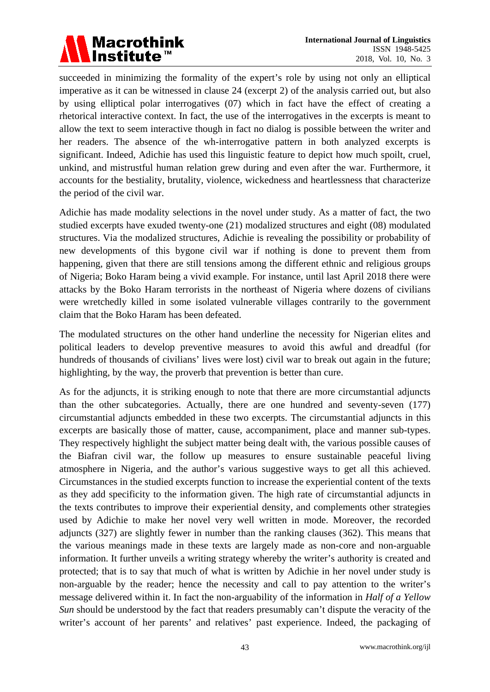

succeeded in minimizing the formality of the expert's role by using not only an elliptical imperative as it can be witnessed in clause 24 (excerpt 2) of the analysis carried out, but also by using elliptical polar interrogatives (07) which in fact have the effect of creating a rhetorical interactive context. In fact, the use of the interrogatives in the excerpts is meant to allow the text to seem interactive though in fact no dialog is possible between the writer and her readers. The absence of the wh-interrogative pattern in both analyzed excerpts is significant. Indeed, Adichie has used this linguistic feature to depict how much spoilt, cruel, unkind, and mistrustful human relation grew during and even after the war. Furthermore, it accounts for the bestiality, brutality, violence, wickedness and heartlessness that characterize the period of the civil war.

Adichie has made modality selections in the novel under study. As a matter of fact, the two studied excerpts have exuded twenty-one (21) modalized structures and eight (08) modulated structures. Via the modalized structures, Adichie is revealing the possibility or probability of new developments of this bygone civil war if nothing is done to prevent them from happening, given that there are still tensions among the different ethnic and religious groups of Nigeria; Boko Haram being a vivid example. For instance, until last April 2018 there were attacks by the Boko Haram terrorists in the northeast of Nigeria where dozens of civilians were wretchedly killed in some isolated vulnerable villages contrarily to the government claim that the Boko Haram has been defeated.

The modulated structures on the other hand underline the necessity for Nigerian elites and political leaders to develop preventive measures to avoid this awful and dreadful (for hundreds of thousands of civilians' lives were lost) civil war to break out again in the future; highlighting, by the way, the proverb that prevention is better than cure.

As for the adjuncts, it is striking enough to note that there are more circumstantial adjuncts than the other subcategories. Actually, there are one hundred and seventy-seven (177) circumstantial adjuncts embedded in these two excerpts. The circumstantial adjuncts in this excerpts are basically those of matter, cause, accompaniment, place and manner sub-types. They respectively highlight the subject matter being dealt with, the various possible causes of the Biafran civil war, the follow up measures to ensure sustainable peaceful living atmosphere in Nigeria, and the author's various suggestive ways to get all this achieved. Circumstances in the studied excerpts function to increase the experiential content of the texts as they add specificity to the information given. The high rate of circumstantial adjuncts in the texts contributes to improve their experiential density, and complements other strategies used by Adichie to make her novel very well written in mode. Moreover, the recorded adjuncts (327) are slightly fewer in number than the ranking clauses (362). This means that the various meanings made in these texts are largely made as non-core and non-arguable information. It further unveils a writing strategy whereby the writer's authority is created and protected; that is to say that much of what is written by Adichie in her novel under study is non-arguable by the reader; hence the necessity and call to pay attention to the writer's message delivered within it. In fact the non-arguability of the information in *Half of a Yellow Sun* should be understood by the fact that readers presumably can't dispute the veracity of the writer's account of her parents' and relatives' past experience. Indeed, the packaging of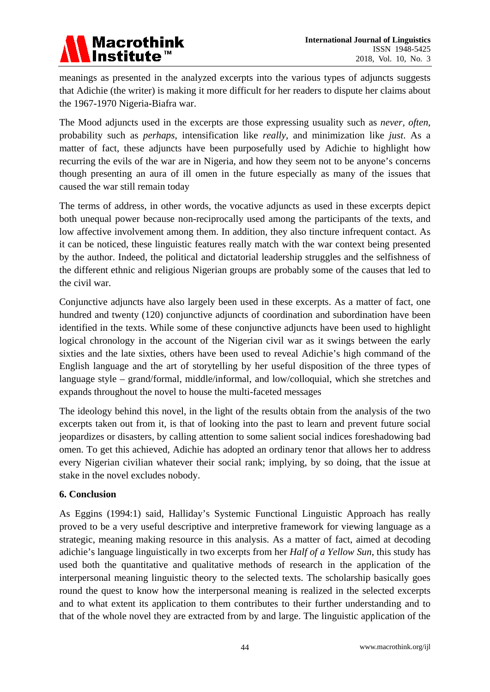

meanings as presented in the analyzed excerpts into the various types of adjuncts suggests that Adichie (the writer) is making it more difficult for her readers to dispute her claims about the 1967-1970 Nigeria-Biafra war.

The Mood adjuncts used in the excerpts are those expressing usuality such as *never, often*, probability such as *perhaps*, intensification like *really*, and minimization like *just*. As a matter of fact, these adjuncts have been purposefully used by Adichie to highlight how recurring the evils of the war are in Nigeria, and how they seem not to be anyone's concerns though presenting an aura of ill omen in the future especially as many of the issues that caused the war still remain today

The terms of address, in other words, the vocative adjuncts as used in these excerpts depict both unequal power because non-reciprocally used among the participants of the texts, and low affective involvement among them. In addition, they also tincture infrequent contact. As it can be noticed, these linguistic features really match with the war context being presented by the author. Indeed, the political and dictatorial leadership struggles and the selfishness of the different ethnic and religious Nigerian groups are probably some of the causes that led to the civil war.

Conjunctive adjuncts have also largely been used in these excerpts. As a matter of fact, one hundred and twenty (120) conjunctive adjuncts of coordination and subordination have been identified in the texts. While some of these conjunctive adjuncts have been used to highlight logical chronology in the account of the Nigerian civil war as it swings between the early sixties and the late sixties, others have been used to reveal Adichie's high command of the English language and the art of storytelling by her useful disposition of the three types of language style – grand/formal, middle/informal, and low/colloquial, which she stretches and expands throughout the novel to house the multi-faceted messages

The ideology behind this novel, in the light of the results obtain from the analysis of the two excerpts taken out from it, is that of looking into the past to learn and prevent future social jeopardizes or disasters, by calling attention to some salient social indices foreshadowing bad omen. To get this achieved, Adichie has adopted an ordinary tenor that allows her to address every Nigerian civilian whatever their social rank; implying, by so doing, that the issue at stake in the novel excludes nobody.

# **6. Conclusion**

As Eggins (1994:1) said, Halliday's Systemic Functional Linguistic Approach has really proved to be a very useful descriptive and interpretive framework for viewing language as a strategic, meaning making resource in this analysis. As a matter of fact, aimed at decoding adichie's language linguistically in two excerpts from her *Half of a Yellow Sun*, this study has used both the quantitative and qualitative methods of research in the application of the interpersonal meaning linguistic theory to the selected texts. The scholarship basically goes round the quest to know how the interpersonal meaning is realized in the selected excerpts and to what extent its application to them contributes to their further understanding and to that of the whole novel they are extracted from by and large. The linguistic application of the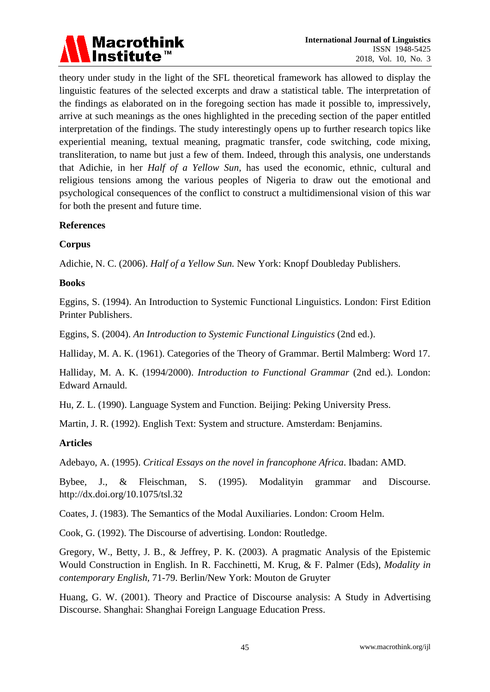

theory under study in the light of the SFL theoretical framework has allowed to display the linguistic features of the selected excerpts and draw a statistical table. The interpretation of the findings as elaborated on in the foregoing section has made it possible to, impressively, arrive at such meanings as the ones highlighted in the preceding section of the paper entitled interpretation of the findings. The study interestingly opens up to further research topics like experiential meaning, textual meaning, pragmatic transfer, code switching, code mixing, transliteration, to name but just a few of them. Indeed, through this analysis, one understands that Adichie, in her *Half of a Yellow Sun*, has used the economic, ethnic, cultural and religious tensions among the various peoples of Nigeria to draw out the emotional and psychological consequences of the conflict to construct a multidimensional vision of this war for both the present and future time.

#### **References**

#### **Corpus**

Adichie, N. C. (2006). *Half of a Yellow Sun.* New York: Knopf Doubleday Publishers.

#### **Books**

Eggins, S. (1994). An Introduction to Systemic Functional Linguistics. London: First Edition Printer Publishers.

Eggins, S. (2004). *An Introduction to Systemic Functional Linguistics* (2nd ed.).

Halliday, M. A. K. (1961). Categories of the Theory of Grammar. Bertil Malmberg: Word 17.

Halliday, M. A. K. (1994/2000). *Introduction to Functional Grammar* (2nd ed.). London: Edward Arnauld.

Hu, Z. L. (1990). Language System and Function. Beijing: Peking University Press.

Martin, J. R. (1992). English Text: System and structure. Amsterdam: Benjamins.

#### **Articles**

Adebayo, A. (1995). *Critical Essays on the novel in francophone Africa*. Ibadan: AMD.

Bybee, J., & Fleischman, S. (1995). Modalityin grammar and Discourse. http://dx.doi.org/10.1075/tsl.32

Coates, J. (1983). The Semantics of the Modal Auxiliaries. London: Croom Helm.

Cook, G. (1992). The Discourse of advertising. London: Routledge.

Gregory, W., Betty, J. B., & Jeffrey, P. K. (2003). A pragmatic Analysis of the Epistemic Would Construction in English. In R. Facchinetti, M. Krug, & F. Palmer (Eds), *Modality in contemporary English,* 71-79. Berlin/New York: Mouton de Gruyter

Huang, G. W. (2001). Theory and Practice of Discourse analysis: A Study in Advertising Discourse. Shanghai: Shanghai Foreign Language Education Press.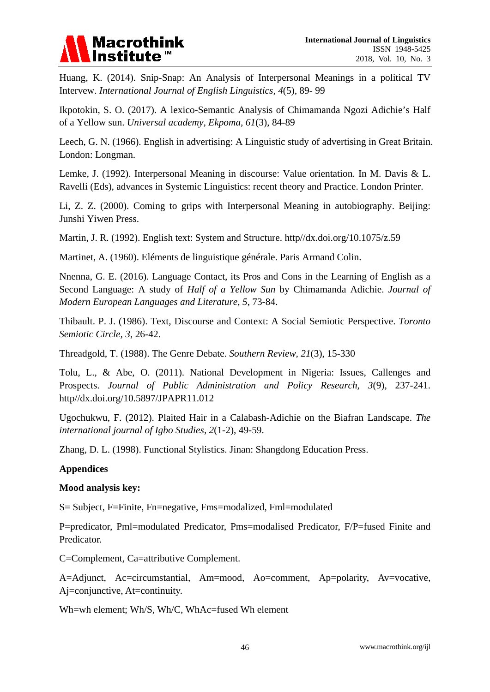

Huang, K. (2014). Snip-Snap: An Analysis of Interpersonal Meanings in a political TV Intervew. *International Journal of English Linguistics, 4*(5), 89- 99

Ikpotokin, S. O. (2017). A lexico-Semantic Analysis of Chimamanda Ngozi Adichie's Half of a Yellow sun. *Universal academy, Ekpoma, 61*(3), 84-89

Leech, G. N. (1966). English in advertising: A Linguistic study of advertising in Great Britain. London: Longman.

Lemke, J. (1992). Interpersonal Meaning in discourse: Value orientation. In M. Davis & L. Ravelli (Eds), advances in Systemic Linguistics: recent theory and Practice. London Printer.

Li, Z. Z. (2000). Coming to grips with Interpersonal Meaning in autobiography. Beijing: Junshi Yiwen Press.

Martin, J. R. (1992). English text: System and Structure. http//dx.doi.org/10.1075/z.59

Martinet, A. (1960). Eléments de linguistique générale. Paris Armand Colin.

Nnenna, G. E. (2016). Language Contact, its Pros and Cons in the Learning of English as a Second Language: A study of *Half of a Yellow Sun* by Chimamanda Adichie. *Journal of Modern European Languages and Literature, 5*, 73-84.

Thibault. P. J. (1986). Text, Discourse and Context: A Social Semiotic Perspective. *Toronto Semiotic Circle, 3*, 26-42.

Threadgold, T. (1988). The Genre Debate. *Southern Review, 21*(3), 15-330

Tolu, L., & Abe, O. (2011). National Development in Nigeria: Issues, Callenges and Prospects. *Journal of Public Administration and Policy Research, 3*(9), 237-241. http//dx.doi.org/10.5897/JPAPR11.012

Ugochukwu, F. (2012). Plaited Hair in a Calabash-Adichie on the Biafran Landscape. *The international journal of Igbo Studies*, *2*(1-2), 49-59.

Zhang, D. L. (1998). Functional Stylistics. Jinan: Shangdong Education Press.

#### **Appendices**

#### **Mood analysis key:**

S= Subject, F=Finite, Fn=negative, Fms=modalized, Fml=modulated

P=predicator, Pml=modulated Predicator, Pms=modalised Predicator, F/P=fused Finite and Predicator.

C=Complement, Ca=attributive Complement.

A=Adjunct, Ac=circumstantial, Am=mood, Ao=comment, Ap=polarity, Av=vocative, Aj=conjunctive, At=continuity.

Wh=wh element; Wh/S, Wh/C, WhAc=fused Wh element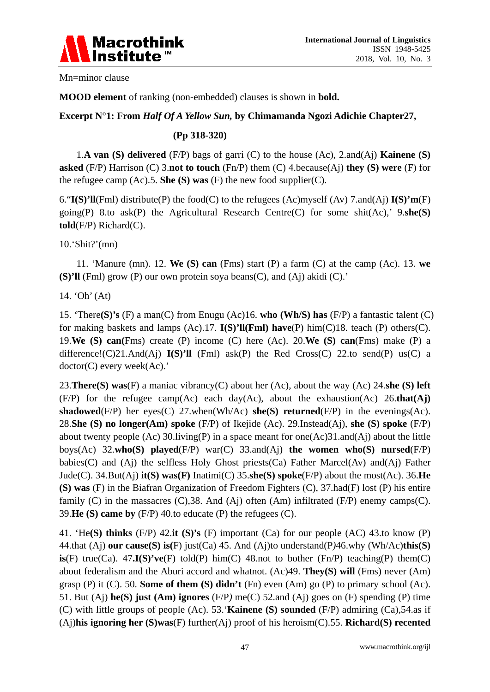

Mn=minor clause

**MOOD element** of ranking (non-embedded) clauses is shown in **bold.**

# **Excerpt N°1: From** *Half Of A Yellow Sun,* **by Chimamanda Ngozi Adichie Chapter27,**

# **(Pp 318-320)**

1.**A van (S) delivered** (F/P) bags of garri (C) to the house (Ac), 2.and(Aj) **Kainene (S) asked** (F/P) Harrison (C) 3.**not to touch** (Fn/P) them (C) 4.because(Aj) **they (S) were** (F) for the refugee camp  $(Ac)$ .5. **She**  $(S)$  **was**  $(F)$  the new food supplier $(C)$ .

6."**I(S)'ll**(Fml) distribute(P) the food(C) to the refugees (Ac)myself (Av) 7.and(Aj) **I(S)'m**(F) going(P) 8.to ask(P) the Agricultural Research Centre(C) for some shit(Ac),' 9.**she(S) told**(F/P) Richard(C).

10.'Shit?'(mn)

11. 'Manure (mn). 12. **We (S) can** (Fms) start (P) a farm (C) at the camp (Ac). 13. **we (S)'ll** (Fml) grow (P) our own protein soya beans(C), and (Aj) akidi (C).'

14. 'Oh' (At)

15. 'There**(S)'s** (F) a man(C) from Enugu (Ac)16. **who (Wh/S) has** (F/P) a fantastic talent (C) for making baskets and lamps (Ac).17. **I(S)'ll(Fml) have**(P) him(C)18. teach (P) others(C). 19.**We (S) can(**Fms) create (P) income (C) here (Ac). 20.**We (S) can**(Fms) make (P) a difference!(C)21.And(Aj) **I(S)'ll** (Fml) ask(P) the Red Cross(C) 22.to send(P) us(C) a doctor(C) every week(Ac).'

23.**There(S) was**(F) a maniac vibrancy(C) about her (Ac), about the way (Ac) 24.**she (S) left**  (F/P) for the refugee camp(Ac) each day(Ac), about the exhaustion(Ac) 26.**that(Aj) shadowed**(F/P) her eyes(C) 27.when(Wh/Ac) **she(S) returned**(F/P) in the evenings(Ac). 28.**She (S) no longer(Am) spoke** (F/P) of Ikejide (Ac). 29.Instead(Aj), **she (S) spoke** (F/P) about twenty people (Ac) 30.living(P) in a space meant for one(Ac)31.and(Aj) about the little boys(Ac) 32.**who(S) played**(F/P) war(C) 33.and(Aj) **the women who(S) nursed**(F/P) babies(C) and (Aj) the selfless Holy Ghost priests(Ca) Father Marcel(Av) and(Aj) Father Jude(C). 34.But(Aj) **it(S) was(F)** Inatimi(C) 35.**she(S) spoke**(F/P) about the most(Ac). 36.**He (S) was** (F) in the Biafran Organization of Freedom Fighters (C), 37.had(F) lost (P) his entire family  $(C)$  in the massacres  $(C)$ ,38. And  $(A<sub>i</sub>)$  often  $(A<sub>m</sub>)$  infiltrated  $(F/P)$  enemy camps $(C)$ . 39.**He (S) came by** (F/P) 40.to educate (P) the refugees (C).

41. 'He**(S) thinks** (F/P) 42.**it (S)'s** (F) important (Ca) for our people (AC) 43.to know (P) 44.that (Aj) **our cause(S) is(**F) just(Ca) 45. And (Aj)to understand(P*)*46.why (Wh/Ac)**this(S) is**(F) true(Ca). 47**.I(S)'ve**(F) told(P) him(C) 48.not to bother (Fn/P) teaching(P) them(C) about federalism and the Aburi accord and whatnot. (Ac)49. **They(S) will** (Fms) never (Am) grasp (P) it (C). 50. **Some of them (S) didn't** (Fn) even (Am) go (P) to primary school (Ac). 51. But (Aj) **he(S) just (Am) ignores** (F/P*)* me(C) 52.and (Aj) goes on (F) spending (P) time (C) with little groups of people (Ac). 53.'**Kainene (S) sounded** (F/P) admiring (Ca),54.as if (Aj)**his ignoring her (S)was**(F) further(Aj) proof of his heroism(C).55. **Richard(S) recented**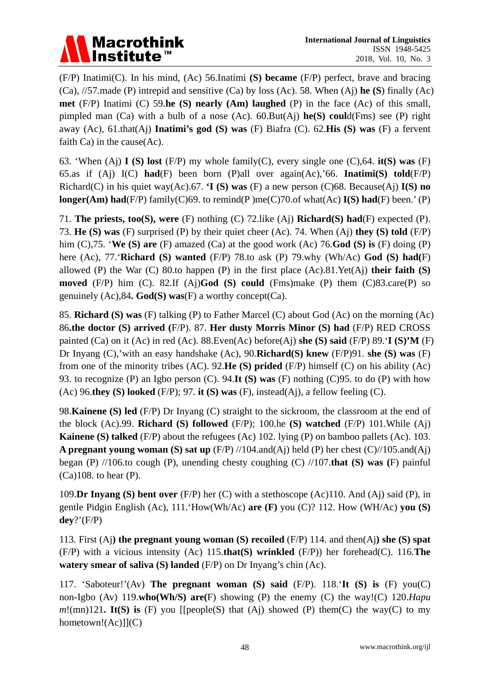

(F/P) Inatimi(C). In his mind, (Ac) 56.Inatimi **(S) became** (F/P) perfect, brave and bracing (Ca), //57.made (P) intrepid and sensitive (Ca) by loss (Ac). 58. When (Aj) **he (S**) finally (Ac) **met** (F/P) Inatimi (C) 59.**he (S) nearly (Am) laughed** (P) in the face (Ac) of this small, pimpled man (Ca) with a bulb of a nose (Ac). 60.But(Aj) **he(S) coul**d(Fms) see (P) right away (Ac), 61.that(Aj) **Inatimi's god (S) was** (F) Biafra (C). 62.**His (S) was** (F) a fervent faith Ca) in the cause(Ac).

63. 'When (Aj) **I (S) lost** (F/P) my whole family(C), every single one (C),64. **it(S) was** (F) 65.as if (Aj) I(C) **had**(F) been born (P)all over again(Ac),'66. **Inatimi(S) told**(F/P) Richard(C) in his quiet way(Ac).67. **'I (S) was** (F) a new person (C)68. Because(Aj) **I(S) no longer(Am) had**(F/P) family(C)69. to remind(P )me(C)70.of what(Ac) **I(S) had**(F) been.' (P)

71. **The priests, too(S), were** (F) nothing (C) 72.like (Aj) **Richard(S) had**(F) expected (P). 73. **He (S) was** (F) surprised (P) by their quiet cheer (Ac). 74. When (Aj) **they (S) told** (F/P) him (C),75. '**We (S) are** (F) amazed (Ca) at the good work (Ac) 76.**God (S) is** (F) doing (P) here (Ac), 77.'**Richard (S) wanted** (F/P) 78.to ask (P) 79.why (Wh/Ac) **God (S) had(**F) allowed (P) the War (C) 80.to happen (P) in the first place (Ac).81.Yet(Aj) **their faith (S) moved** (F/P) him (C). 82.If (Aj)**God (S) could** (Fms)make (P) them (C)83.care(P) so genuinely (Ac),84**. God(S) was**(F) a worthy concept(Ca).

85. **Richard (S) was** (F) talking (P) to Father Marcel (C) about God (Ac) on the morning (Ac) 86**.the doctor (S) arrived (**F/P). 87. **Her dusty Morris Minor (S) had** (F/P) RED CROSS painted (Ca) on it (Ac) in red (Ac). 88.Even(Ac) before(Aj) **she (S) said** (F/P) 89.'**I (S)'M** (F) Dr Inyang (C),'with an easy handshake (Ac), 90.**Richard(S) knew** (F/P)91. **she (S) was** (F) from one of the minority tribes (AC). 92.**He (S) prided** (F/P) himself (C) on his ability (Ac) 93. to recognize (P) an Igbo person (C). 94.**It (S) was** (F) nothing (C)95. to do (P) with how (Ac) 96.**they (S) looked** (F/P); 97. **it (S) was** (F), instead(Aj), a fellow feeling (C).

98.**Kainene (S) led** (F/P) Dr Inyang (C) straight to the sickroom, the classroom at the end of the block (Ac).99. **Richard (S) followed** (F/P); 100.he **(S) watched** (F/P) 101.While (Aj) **Kainene (S) talked** (F/P) about the refugees (Ac) 102. lying (P) on bamboo pallets (Ac). 103. **A pregnant young woman (S) sat up** (F/P) //104.and(Aj) held (P) her chest (C)//105.and(Aj) began (P) //106.to cough (P), unending chesty coughing (C) //107.**that (S) was (**F) painful (Ca)108. to hear (P).

109.**Dr Inyang (S) bent over** (F/P) her (C) with a stethoscope (Ac)110. And (Aj) said (P), in gentle Pidgin English (Ac), 111.'How(Wh/Ac) **are (F)** you (C)? 112. How (WH/Ac) **you (S) dey**?'(F/P)

113. First (Aj**) the pregnant young woman (S) recoiled** (F/P) 114. and then(Aj**) she (S) spat** (F/P) with a vicious intensity (Ac) 115.**that(S) wrinkled** (F/P)) her forehead(C). 116.**The watery smear of saliva (S) landed** (F/P) on Dr Inyang's chin (Ac).

117. 'Saboteur!'(Av) **The pregnant woman (S) said** (F/P). 118.'**It (S) is** (F) you(C) non-Igbo (Av) 119.**who(Wh/S) are(**F) showing (P) the enemy (C) the way!(C) 120.*Hapu*   $m!(mn)121$ **. It(S) is** (F) you [[people(S) that (Aj) showed (P) them(C) the way(C) to my hometown! $(Ac)$ ] $(C)$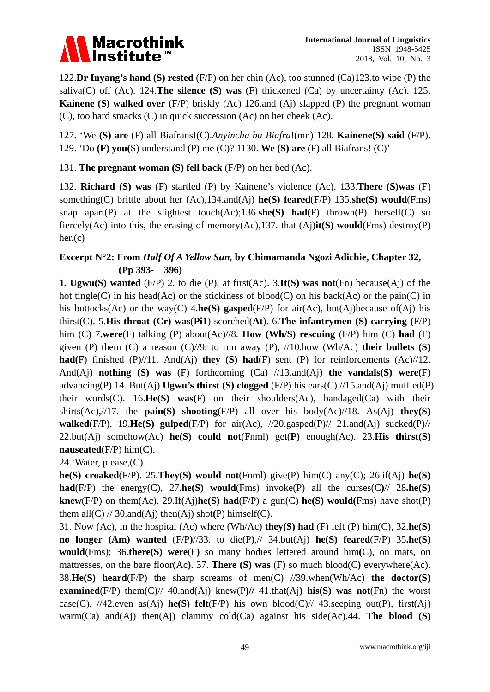

122.**Dr Inyang's hand (S) rested** (F/P) on her chin (Ac), too stunned (Ca)123.to wipe (P) the saliva(C) off (Ac). 124.**The silence (S) was** (F) thickened (Ca) by uncertainty (Ac). 125. **Kainene (S) walked over** (F/P) briskly (Ac) 126.and (Aj) slapped (P) the pregnant woman (C), too hard smacks (C) in quick succession (Ac) on her cheek (Ac).

127. 'We **(S) are** (F) all Biafrans!(C).*Anyincha bu Biafra*!(mn)'128. **Kainene(S) said** (F/P). 129. 'Do **(F) you(**S) understand (P) me (C)? 1130. **We (S) are** (F) all Biafrans! (C)'

131. **The pregnant woman (S) fell back** (F/P) on her bed (Ac).

132. **Richard (S) was** (F) startled (P) by Kainene's violence (Ac). 133.**There (S)was** (F) something(C) brittle about her (Ac),134.and(Aj) **he(S) feared**(F/P) 135.**she(S) would**(Fms) snap apart(P) at the slightest touch(Ac);136.she(S) had(F) thrown(P) herself(C) so fiercely(Ac) into this, the erasing of memory(Ac),137. that (Aj)**it(S) would**(Fms) destroy(P)  $her(c)$ 

# **Excerpt N°2: From** *Half Of A Yellow Sun,* **by Chimamanda Ngozi Adichie, Chapter 32, (Pp 393- 396)**

**1. Ugwu(S) wanted** (F/P) 2. to die (P), at first(Ac). 3.**It(S) was not**(Fn) because(Aj) of the hot tingle(C) in his head(Ac) or the stickiness of blood(C) on his back(Ac) or the pain(C) in his buttocks(Ac) or the way(C) 4.**he(S) gasped**(F/P) for air(Ac), but(Aj)because of(Aj) his thirst(C). 5.**His throat (Cr) was**(**Pi1**) scorched(**At**). 6.**The infantrymen (S) carrying (**F/P) him (C) 7**.were**(F) talking (P) about(Ac)//8. **How (Wh/S) rescuing** (F/P) him (C) **had** (F) given (P) them (C) a reason (C)//9. to run away (P), //10.how (Wh/Ac) **their bullets (S) had(**F) finished (P)//11. And(Aj) **they (S) had**(F) sent (P) for reinforcements (Ac)//12. And(Aj) **nothing (S) was** (F) forthcoming (Ca) //13.and(Aj) **the vandals(S) were(**F) advancing(P).14. But(Aj) **Ugwu's thirst (S) clogged** (F/P) his ears(C) //15.and(Aj) muffled(P) their words(C). 16.**He(S) was(**F) on their shoulders(Ac), bandaged(Ca) with their shirts(Ac),//17. the **pain(S) shooting**(F/P) all over his body(Ac)//18. As(Aj) **they(S) walked**(F/P). 19.**He(S) gulped**(F/P) for air(Ac), //20.gasped(P)// 21.and(Aj) sucked(P)// 22.but(Aj) somehow(Ac) **he(S) could not**(Fnml) get(**P)** enough(Ac). 23.**His thirst(S) nauseated**(F/P) him(C).

24.'Water, please,(C)

**he(S) croaked**(F/P). 25.**They(S) would not**(Fnml) give(P) him(C) any(C); 26.if(Aj) **he(S) had**( $F/P$ ) the energy( $C$ ), 27.**he(S)** would ( $Fms$ ) invoke( $P$ ) all the curses( $C$ )// 28.**he(S) knew**(F/P) on them(Ac). 29.If(Aj)**he(S) had**(F/P) a gun(C) **he(S) would(**Fms) have shot(P) them all(C)  $\text{/}\text{/}30$ .and(Aj) then(Aj) shot(P) himself(C).

31. Now (Ac), in the hospital (Ac) where (Wh/Ac) **they(S) had** (F) left (P) him(C), 32.**he(S) no longer (Am) wanted** (F/P**)**//33. to die(P**)**,// 34.but(Aj) **he(S) feared**(F/P) 35**.he(S) would**(Fms); 36.**there(S) were**(F**)** so many bodies lettered around him**(**C), on mats, on mattresses, on the bare floor(Ac**)**. 37. **There (S) was** (F**)** so much blood(C**)** everywhere(Ac). 38.**He(S) heard**(F/P) the sharp screams of men(C) //39.when(Wh/Ac) **the doctor(S) examined**(F/P) them(C)// 40.and(Aj) knew(P)// 41.that(Aj) his(S) was not(Fn) the worst case(C),  $\frac{1}{42}$ .even as(Aj) **he(S) felt**(F/P) his own blood(C) $\frac{1}{43}$ .seeping out(P), first(Aj) warm(Ca) and(Aj) then(Aj) clammy cold(Ca) against his side(Ac).44. **The blood (S)**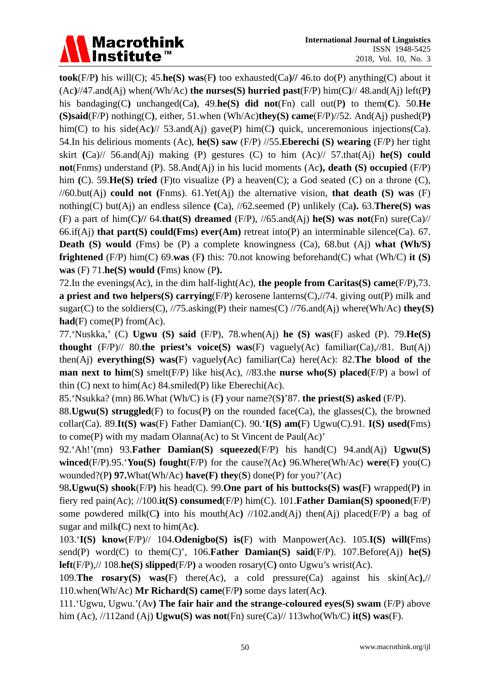

**took**(F/P**)** his will(C); 45.**he(S) was**(F**)** too exhausted(Ca**)//** 46.to do(P) anything(C) about it (Ac**)**//47.and(Aj) when(/Wh/Ac) **the nurses(S) hurried past**(F/P) him(C**)**// 48.and(Aj) left(P**)** his bandaging(C**)** unchanged(Ca**)**, 49.**he(S) did not**(Fn) call out(P**)** to them(**C**). 50.**He (S)said**(F/P) nothing(C**)**, either, 51.when (Wh/Ac)**they(S) came**(F/P)//52. And(Aj) pushed(P**)** him(C) to his side(Ac)// 53.and(Aj) gave(P) him(C) quick, unceremonious injections(Ca). 54.In his delirious moments (Ac), **he(S) saw** (F/P) //55.**Eberechi (S) wearing** (F/P) her tight skirt **(**Ca)// 56.and(Aj) making (P) gestures (C) to him (Ac)// 57.that(Aj) **he(S) could not**(Fnms) understand (P). 58.And(Aj) in his lucid moments (Ac**), death (S) occupied** (F/P) him **(C)**. 59. He **(S)** tried **(F)**to visualize **(P)** a heaven **(C)**; a God seated **(C)** on a throne **(C)**, //60.but(Aj) **could not (**Fnms). 61.Yet(Aj) the alternative vision, **that death (S) was** (F) nothing(C) but(Aj) an endless silence **(**Ca), //62.seemed (P) unlikely (Ca**).** 63.**There(S) was** (F) a part of him(C**)//** 64.**that(S) dreamed** (F/P), //65.and(Aj) **he(S) was not**(Fn) sure(Ca)// 66.if(Aj) **that part(S) could(Fms) ever(Am)** retreat into(P) an interminable silence(Ca). 67. **Death (S) would** (Fms) be (P) a complete knowingness (Ca), 68.but (Aj) **what (Wh/S) frightened** (F/P) him(C) 69.**was** (F**)** this: 70.not knowing beforehand(C) what (Wh/C) **it (S) was** (F) 71.**he(S) would (**Fms) know (P**).**

72.In the evenings(Ac), in the dim half-light(Ac), **the people from Caritas(S) came**(F/P),73. **a priest and two helpers(S) carrying**(F/P) kerosene lanterns(C),//74. giving out(P) milk and sugar(C) to the soldiers(C), //75.asking(P) their names(C) //76.and(Aj) where(Wh/Ac) **they(S) had**(F) come(P) from(Ac).

77.'Nuskka,' (C) **Ugwu (S) said** (F/P), 78.when(Aj) **he (S) was**(F) asked (P). 79.**He(S) thought** (F/P)// 80.**the priest's voice(S) was**(F) vaguely(Ac) familiar(Ca),//81. But(Aj) then(Aj) **everything(S) was(**F) vaguely**(**Ac) familiar(Ca) here(Ac): 82.**The blood of the man next to him(S)** smelt(F/P) like his(Ac), //83.the **nurse who(S)** placed(F/P) a bowl of thin (C) next to him(Ac) 84.smiled(P) like Eberechi(Ac).

85.'Nsukka? (mn) 86.What (Wh/C) is (F**)** your name?(S**)**'87. **the priest(S) asked** (F/P).

88.**Ugwu(S) struggled**(F) to focus(P**)** on the rounded face(Ca), the glasses(C), the browned collar(Ca). 89.**It(S) was**(F) Father Damian(C). 90.'**I(S) am(**F) Ugwu(C).91. **I(S) used(**Fms) to come(P) with my madam Olanna(Ac) to St Vincent de Paul(Ac)'

92.'Ah!'(mn) 93.**Father Damian(S) squeezed**(F/P) his hand(C) 94.and(Aj) **Ugwu(S) winced**(F/P).95.'**You(S) fought**(F/P) for the cause?(Ac**)** 96.Where(Wh/Ac) **were**(F**)** you(C) wounded?(P**) 97.**What(Wh/Ac) **have(F) they**(**S**) done(P) for you?'(Ac)

98**.Ugwu(S) shook**(F/P**)** his head(C). 99.**One part of his buttocks(S) was(**F**)** wrapped(P**)** in fiery red pain(Ac); //100.**it(S) consumed**(F/P) him(C). 101.**Father Damian(S) spooned**(F/P) some powdered milk(C**)** into his mouth(Ac**)** //102.and(Aj) then(Aj) placed(F/P) a bag of sugar and milk**(**C) next to him(Ac**)**.

103.'**I(S) know**(F/P)// 104.**Odenigbo(S) is(**F) with Manpower(Ac). 105.**I(S) will(**Fms) send(P) word(C) to them(C)', 106.**Father Damian(S) said**(F/P). 107.Before(Aj) **he(S) left**(F/P),// 108.**he(S) slipped**(F/P**)** a wooden rosary(C**)** onto Ugwu's wrist(Ac).

109.**The rosary(S) was(**F) there(Ac), a cold pressure(Ca) against his skin(Ac**)**,// 110.when(Wh/Ac) **Mr Richard(S) came**(F/P**)** some days later(Ac**)**.

111.'Ugwu, Ugwu.'(Av**) The fair hair and the strange-coloured eyes(S) swam** (F/P) above him (Ac), //112and (Aj) **Ugwu(S) was not**(Fn) sure(Ca)// 113who(Wh/C) **it(S) was**(F).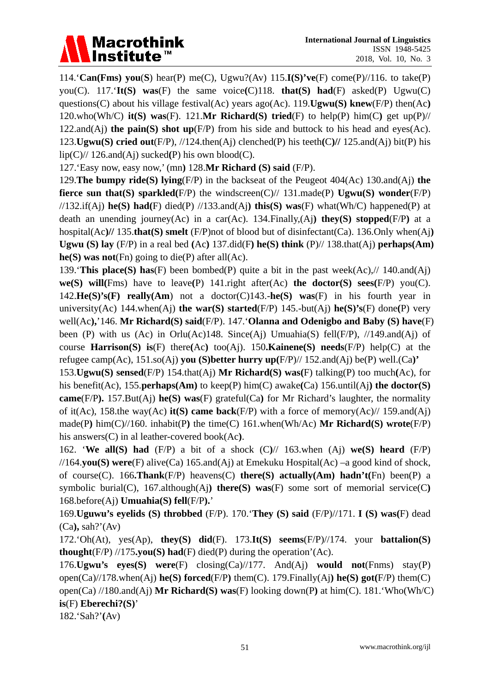# **Macrothink** <u>Institute™</u>

114.'**Can(Fms) you**(**S**) hear(P) me(C), Ugwu?(Av) 115.**I(S)'ve**(F) come(P)//116. to take(P) you(C). 117.'**It(S) was**(F) the same voice**(**C)118. **that(S) had**(F) asked(P) Ugwu(C) questions(C) about his village festival(Ac) years ago(Ac). 119.**Ugwu(S) knew**(F/P) then(Ac**)** 120.who(Wh/C) **it(S) was**(F). 121.Mr **Richard(S) tried**(F) to help(P) him(C) get up(P)// 122.and(Aj) **the pain(S) shot up**(F/P) from his side and buttock to his head and eyes(Ac). 123.**Ugwu(S) cried out**(F/P), //124.then(Aj) clenched(P) his teeth**(**C**)//** 125.and(Aj) bit(P) his  $lip(C)//126$ .and(Aj) sucked(P) his own blood(C).

127.'Easy now, easy now,' (mn**)** 128.**Mr Richard (S) said** (F/P).

129.**The bumpy ride(S) lying**(F/P) in the backseat of the Peugeot 404(Ac) 130.and(Aj) **the fierce sun that(S) sparkled(**F/P) the windscreen(C)// 131.made(P) **Ugwu(S) wonder**(F/P) //132.if(Aj) **he(S) had(**F) died(P) //133.and(Aj**) this(S) was**(F) what(Wh/C) happened(P) at death an unending journey(Ac) in a car(Ac). 134.Finally,(Aj**) they(S) stopped**(F/P**)** at a hospital(Ac**)//** 135.**that(S) smelt** (F/P)not of blood but of disinfectant(Ca). 136.Only when(Aj**) Ugwu (S) lay** (F/P) in a real bed **(**Ac**)** 137.did(F**) he(S) think** (P)// 138.that(Aj) **perhaps(Am) he(S) was not**(Fn) going to die(P) after all(Ac).

139.'**This place(S) has**(F) been bombed(P) quite a bit in the past week(Ac),// 140.and(Aj) **we(S) will(**Fms) have to leave**(**P) 141.right after(Ac) **the doctor(S) sees(**F/P) you(C). 142.**He(S)'s(F) really(Am**) not a doctor(C)143.-**he(S) was**(F) in his fourth year in university(Ac) 144.when(Aj) **the war(S) started**(F/P) 145.-but(Aj) **he(S)'s**(F) done**(**P) very well(Ac**),**'146. **Mr Richard(S) said**(F/P). 147.'**Olanna and Odenigbo and Baby (S) have**(F) been (P) with us (Ac) in Orlu(Ac)148. Since(Aj) Umuahia(S) fell(F/P),  $\frac{1}{149}$ .and(Aj) of course **Harrison(S) is**(F) there**(**Ac**)** too(Aj). 150**.Kainene(S) needs**(F/P) help(C) at the refugee camp(Ac), 151.so(Aj) **you (S)better hurry up(**F/P)// 152.and(Aj) be(P) well.(Ca**)'**

153.**Ugwu(S) sensed**(F/P) 154.that(Aj) **Mr Richard(S) was(**F) talking(P) too much**(**Ac), for his benefit(Ac), 155.**perhaps(Am)** to keep(P) him(C) awake**(**Ca) 156.until(Aj**) the doctor(S) came**(F/P**).** 157.But(Aj) **he(S) was**(F) grateful(Ca**)** for Mr Richard's laughter, the normality of it(Ac), 158.the way(Ac) **it(S) came back**(F/P) with a force of memory(Ac)// 159.and(Aj) made(P**)** him(C)//160. inhabit(P**)** the time(C) 161.when(Wh/Ac) **Mr Richard(S) wrote**(F/P) his answers(C) in al leather-covered book(Ac**)**.

162. '**We all(S) had** (F/P) a bit of a shock (C**)**// 163.when (Aj) **we(S) heard** (F/P) //164.**you(S) were**(F) alive(Ca) 165.and(Aj) at Emekuku Hospital(Ac) –a good kind of shock, of course(C). 166**.Thank**(F/P) heavens(C) **there(S) actually(Am) hadn't(**Fn) been(P) a symbolic burial(C), 167.although(Aj**) there(S) was**(F) some sort of memorial service(C**)** 168.before(Aj) **Umuahia(S) fell**(F/P**).**'

169.**Uguwu's eyelids (S) throbbed** (F/P). 170.'**They (S) said** (F/P)//171. **I (S) was(**F) dead (Ca**),** sah?'(Av)

172.'Oh(At), yes(Ap), **they(S) did**(F). 173.**It(S) seems**(F/P)//174. your **battalion(S) thought**(F/P) //175**.you(S) had**(F) died(P) during the operation'(Ac).

176.**Ugwu's eyes(S) were**(F) closing(Ca)//177. And(Aj) **would not**(Fnms) stay(P) open(Ca)//178.when(Aj) **he(S) forced**(F/P**)** them(C). 179.Finally(Aj**) he(S) got(**F/P) them(C) open(Ca) //180.and(Aj) **Mr Richard(S) was**(F) looking down(P**)** at him(C). 181.'Who(Wh/C) **is**(F) **Eberechi?(S)**'

182.'Sah?'**(**Av)